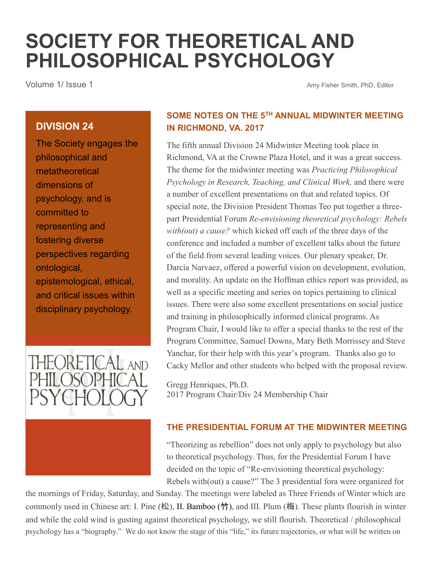# **SOCIETY FOR THEORETICAL AND PHILOSOPHICAL PSYCHOLOGY**

Volume 1/ Issue 1 Amy Fisher Smith, PhD, Editor

#### **DIVISION 24**

The Society engages the philosophical and metatheoretical dimensions of psychology, and is committed to representing and fostering diverse perspectives regarding ontological, epistemological, ethical, and critical issues within disciplinary psychology.



### **SOME NOTES ON THE 5TH ANNUAL MIDWINTER MEETING IN RICHMOND, VA. 2017**

The fifth annual Division 24 Midwinter Meeting took place in Richmond, VA at the Crowne Plaza Hotel, and it was a great success. The theme for the midwinter meeting was *Practicing Philosophical Psychology in Research, Teaching, and Clinical Work,* and there were a number of excellent presentations on that and related topics. Of special note, the Division President Thomas Teo put together a threepart Presidential Forum *Re-envisioning theoretical psychology: Rebels with(out) a cause?* which kicked off each of the three days of the conference and included a number of excellent talks about the future of the field from several leading voices. Our plenary speaker, Dr. Darcia Narvaez, offered a powerful vision on development, evolution, and morality. An update on the Hoffman ethics report was provided, as well as a specific meeting and series on topics pertaining to clinical issues. There were also some excellent presentations on social justice and training in philosophically informed clinical programs. As Program Chair, I would like to offer a special thanks to the rest of the Program Committee, Samuel Downs, Mary Beth Morrissey and Steve Yanchar, for their help with this year's program. Thanks also go to Cacky Mellor and other students who helped with the proposal review.

Gregg Henriques, Ph.D. 2017 Program Chair/Div 24 Membership Chair

#### **THE PRESIDENTIAL FORUM AT THE MIDWINTER MEETING**

"Theorizing as rebellion" does not only apply to psychology but also to theoretical psychology. Thus, for the Presidential Forum I have decided on the topic of "Re-envisioning theoretical psychology: Rebels with(out) a cause?" The 3 presidential fora were organized for

the mornings of Friday, Saturday, and Sunday. The meetings were labeled as Three Friends of Winter which are commonly used in Chinese art: I. Pine  $(\nmid x)$ , II. Bamboo  $(\nmid y)$ , and III. Plum  $(\nmid \overline{m})$ . These plants flourish in winter and while the cold wind is gusting against theoretical psychology, we still flourish. Theoretical / philosophical psychology has a "biography." We do not know the stage of this "life," its future trajectories, or what will be written on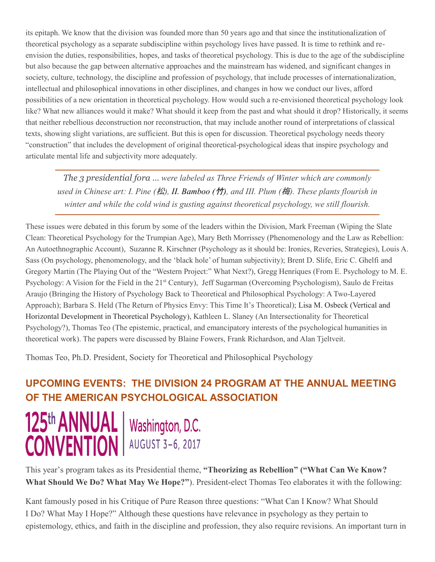its epitaph. We know that the division was founded more than 50 years ago and that since the institutionalization of theoretical psychology as a separate subdiscipline within psychology lives have passed. It is time to rethink and reenvision the duties, responsibilities, hopes, and tasks of theoretical psychology. This is due to the age of the subdiscipline but also because the gap between alternative approaches and the mainstream has widened, and significant changes in society, culture, technology, the discipline and profession of psychology, that include processes of internationalization, intellectual and philosophical innovations in other disciplines, and changes in how we conduct our lives, afford possibilities of a new orientation in theoretical psychology. How would such a re-envisioned theoretical psychology look like? What new alliances would it make? What should it keep from the past and what should it drop? Historically, it seems that neither rebellious deconstruction nor reconstruction, that may include another round of interpretations of classical texts, showing slight variations, are sufficient. But this is open for discussion. Theoretical psychology needs theory "construction" that includes the development of original theoretical-psychological ideas that inspire psychology and articulate mental life and subjectivity more adequately.

*The 3 presidential fora … were labeled as Three Friends of Winter which are commonly used in Chinese art: I. Pine (*松*), II. Bamboo (*竹*), and III. Plum (*梅*). These plants flourish in winter and while the cold wind is gusting against theoretical psychology, we still flourish.*

These issues were debated in this forum by some of the leaders within the Division, Mark Freeman (Wiping the Slate Clean: Theoretical Psychology for the Trumpian Age), Mary Beth Morrissey (Phenomenology and the Law as Rebellion: An Autoethnographic Account), Suzanne R. Kirschner (Psychology as it should be: Ironies, Reveries, Strategies), Louis A. Sass (On psychology, phenomenology, and the 'black hole' of human subjectivity); Brent D. Slife, Eric C. Ghelfi and Gregory Martin (The Playing Out of the "Western Project:" What Next?), Gregg Henriques (From E. Psychology to M. E. Psychology: A Vision for the Field in the 21st Century), Jeff Sugarman (Overcoming Psychologism), Saulo de Freitas Araujo (Bringing the History of Psychology Back to Theoretical and Philosophical Psychology: A Two-Layered Approach); Barbara S. Held (The Return of Physics Envy: This Time It's Theoretical); Lisa M. Osbeck (Vertical and Horizontal Development in Theoretical Psychology), Kathleen L. Slaney (An Intersectionality for Theoretical Psychology?), Thomas Teo (The epistemic, practical, and emancipatory interests of the psychological humanities in theoretical work). The papers were discussed by Blaine Fowers, Frank Richardson, and Alan Tjeltveit.

Thomas Teo, Ph.D. President, Society for Theoretical and Philosophical Psychology

## **UPCOMING EVENTS: THE DIVISION 24 PROGRAM AT THE ANNUAL MEETING OF THE AMERICAN PSYCHOLOGICAL ASSOCIATION**



This year's program takes as its Presidential theme, **"Theorizing as Rebellion" ("What Can We Know? What Should We Do? What May We Hope?"**). President-elect Thomas Teo elaborates it with the following:

Kant famously posed in his Critique of Pure Reason three questions: "What Can I Know? What Should I Do? What May I Hope?" Although these questions have relevance in psychology as they pertain to epistemology, ethics, and faith in the discipline and profession, they also require revisions. An important turn in